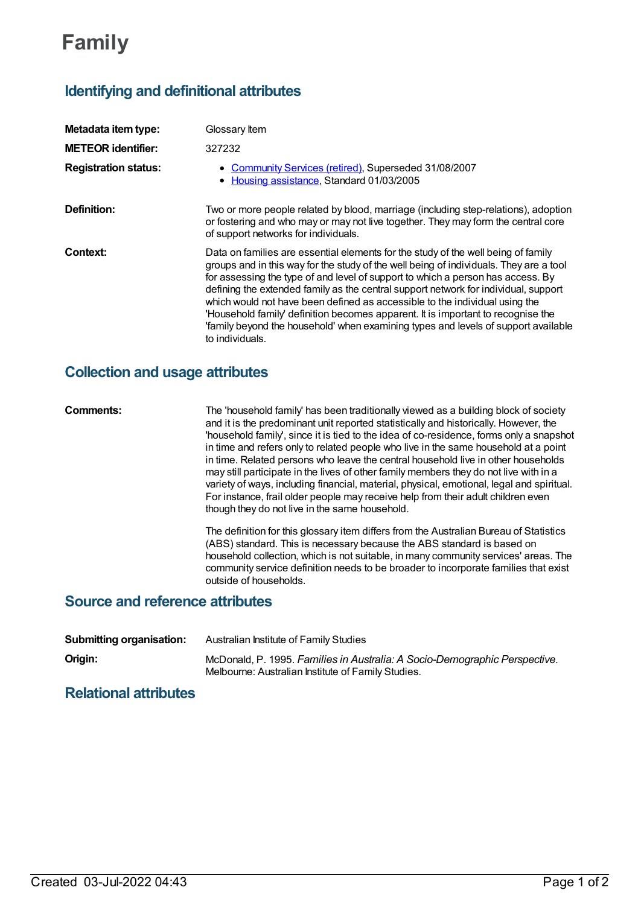# **Family**

# **Identifying and definitional attributes**

| Metadata item type:         | Glossary Item                                                                                                                                                                                                                                                                                                                                                                                                                                                                                                                                                                                                                     |
|-----------------------------|-----------------------------------------------------------------------------------------------------------------------------------------------------------------------------------------------------------------------------------------------------------------------------------------------------------------------------------------------------------------------------------------------------------------------------------------------------------------------------------------------------------------------------------------------------------------------------------------------------------------------------------|
| <b>METEOR identifier:</b>   | 327232                                                                                                                                                                                                                                                                                                                                                                                                                                                                                                                                                                                                                            |
| <b>Registration status:</b> | • Community Services (retired), Superseded 31/08/2007<br>• Housing assistance, Standard 01/03/2005                                                                                                                                                                                                                                                                                                                                                                                                                                                                                                                                |
| Definition:                 | Two or more people related by blood, marriage (including step-relations), adoption<br>or fostering and who may or may not live together. They may form the central core<br>of support networks for individuals.                                                                                                                                                                                                                                                                                                                                                                                                                   |
| Context:                    | Data on families are essential elements for the study of the well being of family<br>groups and in this way for the study of the well being of individuals. They are a tool<br>for assessing the type of and level of support to which a person has access. By<br>defining the extended family as the central support network for individual, support<br>which would not have been defined as accessible to the individual using the<br>'Household family' definition becomes apparent. It is important to recognise the<br>'family beyond the household' when examining types and levels of support available<br>to individuals. |

## **Collection and usage attributes**

**Comments:** The 'household family' has been traditionally viewed as a building block of society and it is the predominant unit reported statistically and historically. However, the 'household family', since it is tied to the idea of co-residence, forms only a snapshot in time and refers only to related people who live in the same household at a point in time. Related persons who leave the central household live in other households may still participate in the lives of other family members they do not live with in a variety of ways, including financial, material, physical, emotional, legal and spiritual. For instance, frail older people may receive help from their adult children even though they do not live in the same household.

> The definition for this glossary item differs from the Australian Bureau of Statistics (ABS) standard. This is necessary because the ABS standard is based on household collection, which is not suitable, in many community services' areas. The community service definition needs to be broader to incorporate families that exist outside of households.

#### **Source and reference attributes**

| <b>Submitting organisation:</b> | Australian Institute of Family Studies                                                                                           |
|---------------------------------|----------------------------------------------------------------------------------------------------------------------------------|
| Origin:                         | McDonald, P. 1995. Families in Australia: A Socio-Demographic Perspective.<br>Melbourne: Australian Institute of Family Studies. |

### **Relational attributes**